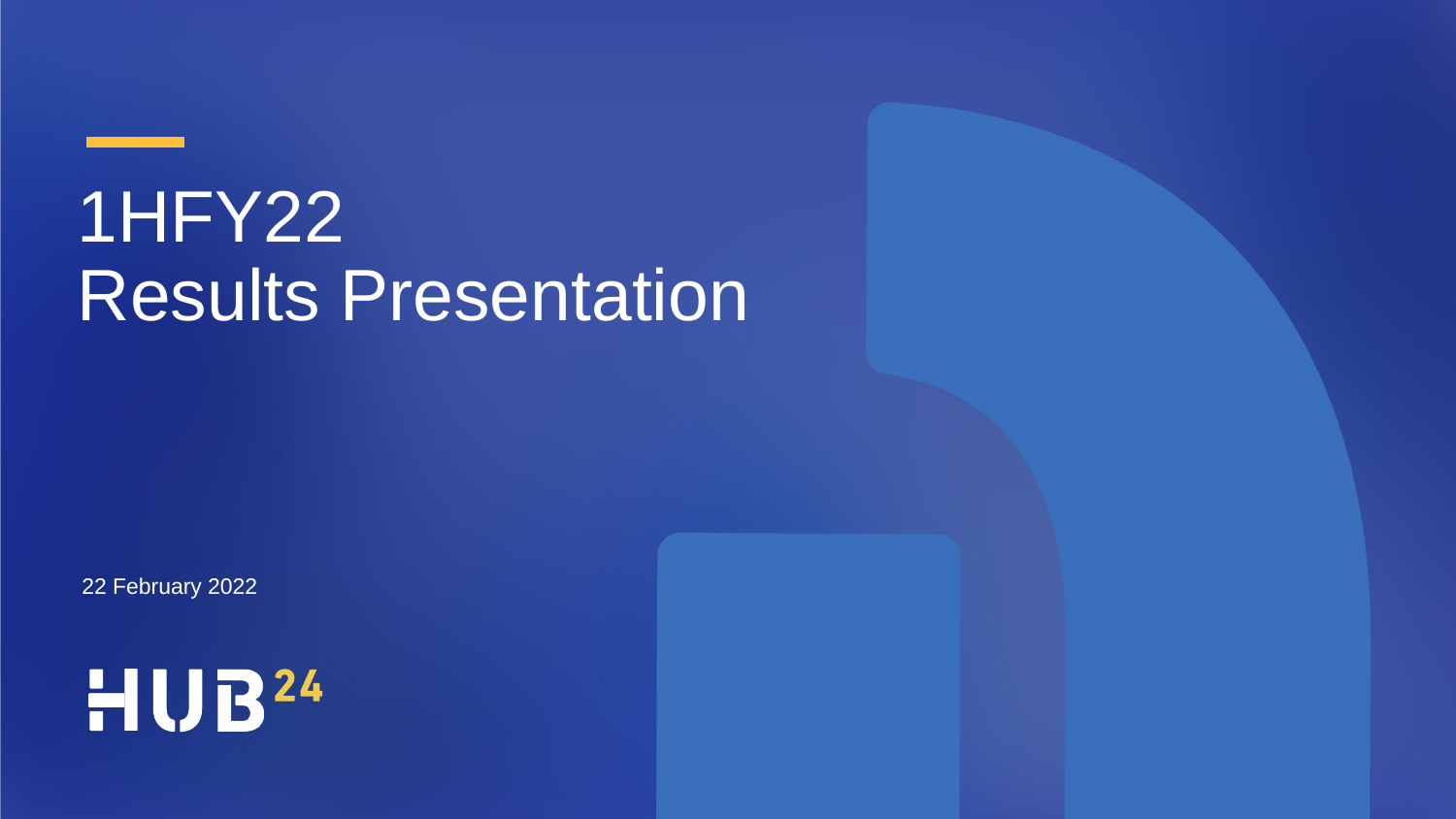# 1HFY22 Results Presentation

22 February 2022

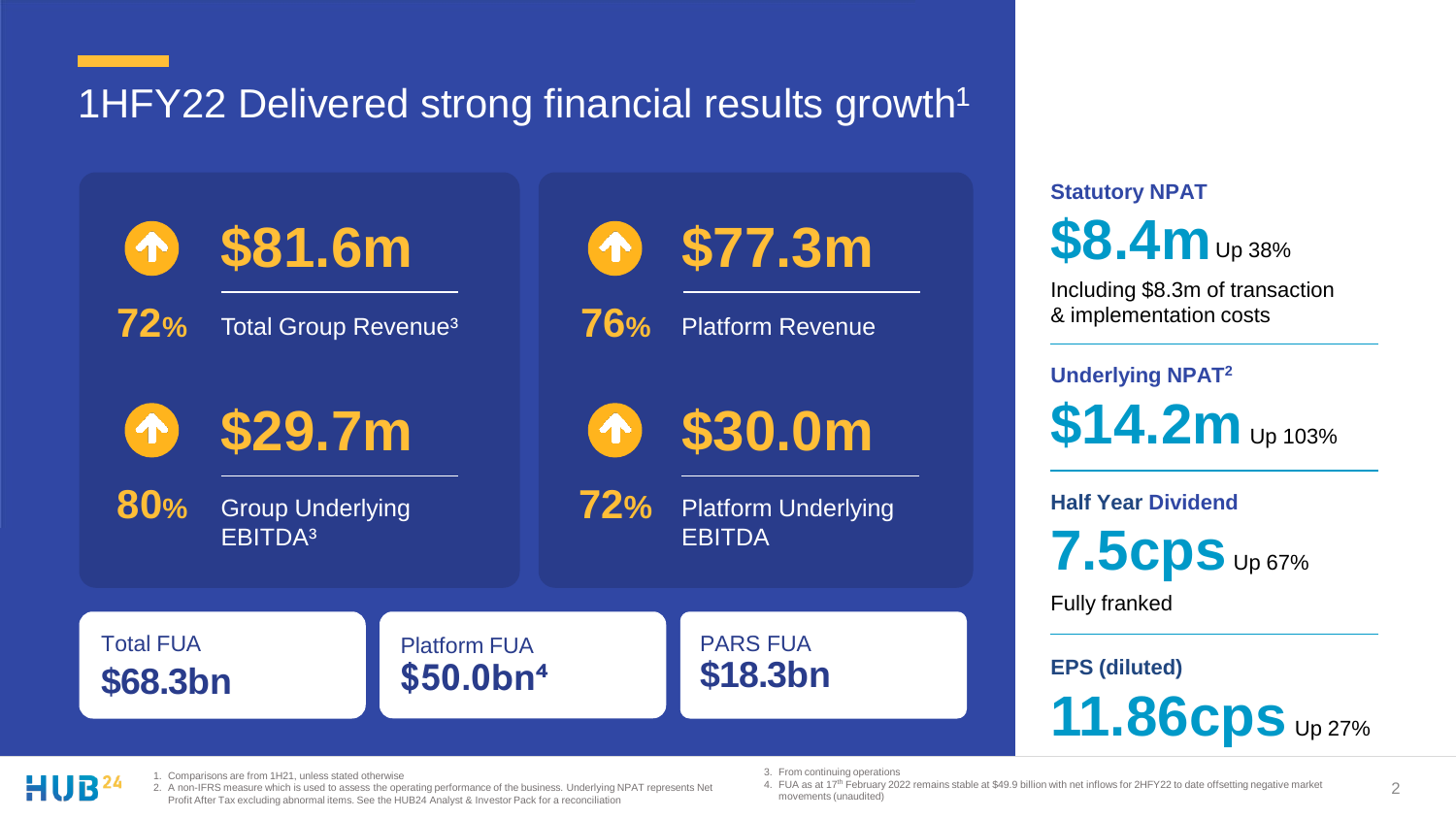1HFY22 Delivered strong financial results growth<sup>1</sup>

**\$81.6m**

**72%** Total Group Revenue³

**\$29.7m** T

**80%**

Group Underlying EBITDA<sup>3</sup>

**\$77.3m**

**76%** Platform Revenue

**\$30.0m**

Platform Underlying EBITDA **72%**

**Statutory NPAT \$8.4m** Up 38%

Including \$8.3m of transaction & implementation costs

**Underlying NPAT<sup>2</sup>**  $$14.2m$  Up 103%

**Half Year Dividend**

**7.5cps** Up 67%

Fully franked

**EPS (diluted)** 

**11.86cps** Up 27%

**\$68.3bn** 

Total FUA

Platform FUA **\$50.0bn⁴** 

PARS FUA **\$18.3bn**

1. Comparisons are from 1H21, unless stated otherwise

2. A non-IFRS measure which is used to assess the operating performance of the business. Underlying NPAT represents Net Profit After Tax excluding abnormal items. See the HUB24 Analyst & Investor Pack for a reconciliation

3. From continuing operations

4. FUA as at 17<sup>th</sup> February 2022 remains stable at \$49.9 billion with net inflows for 2HFY22 to date offsetting negative market movements (unaudited)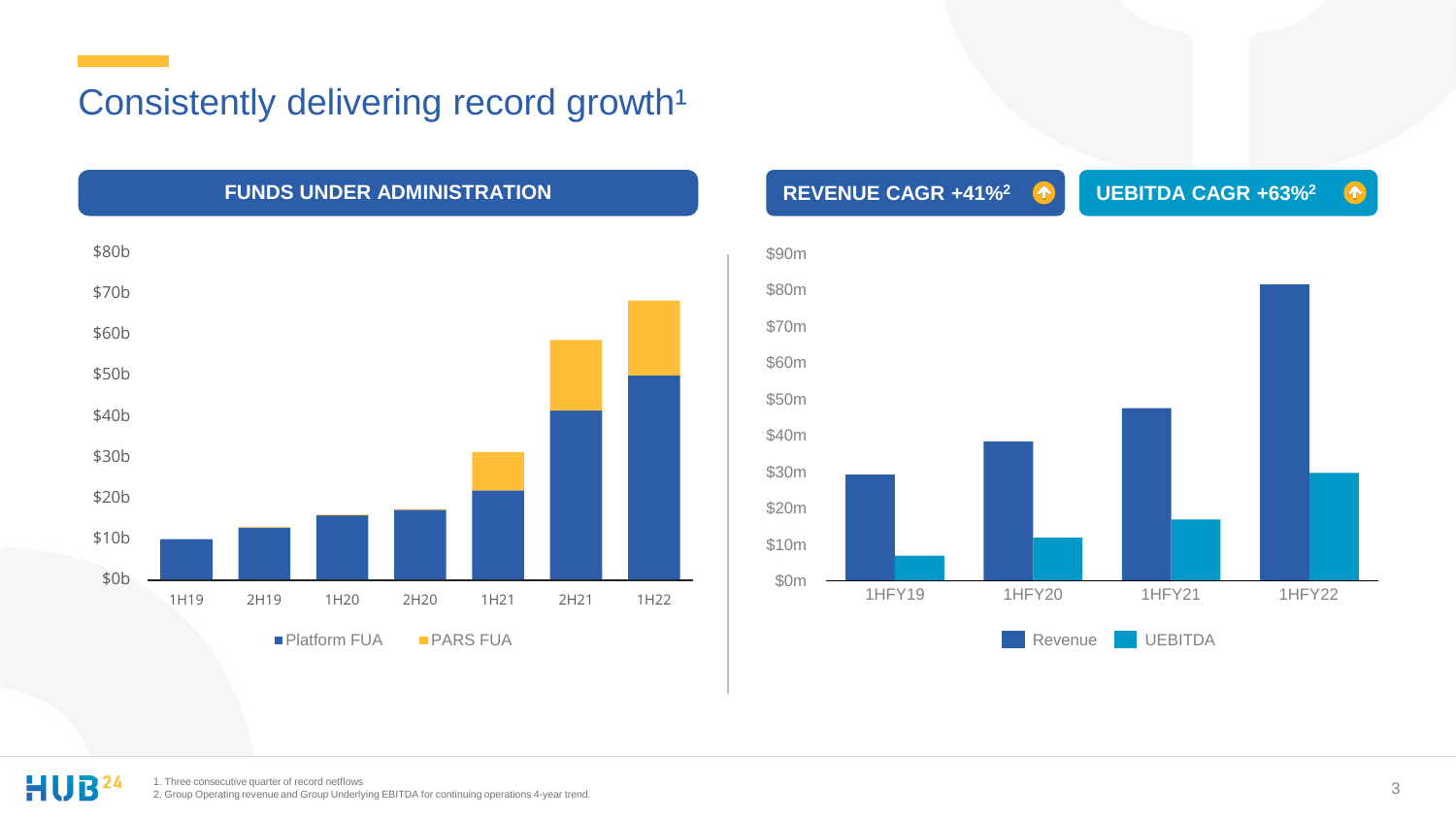### Consistently delivering record growth<sup>1</sup>



**FUNDS UNDER ADMINISTRATION REVENUE CAGR +41%<sup>2</sup> UEBITDA CAGR +63%<sup>2</sup>**  $\bullet$ \$90m \$80m \$70m \$60m \$50m \$40m \$30m \$20m \$10m \$0m 1HFY19 1HFY20 1HFY21 1HFY22 Revenue **UEBITDA**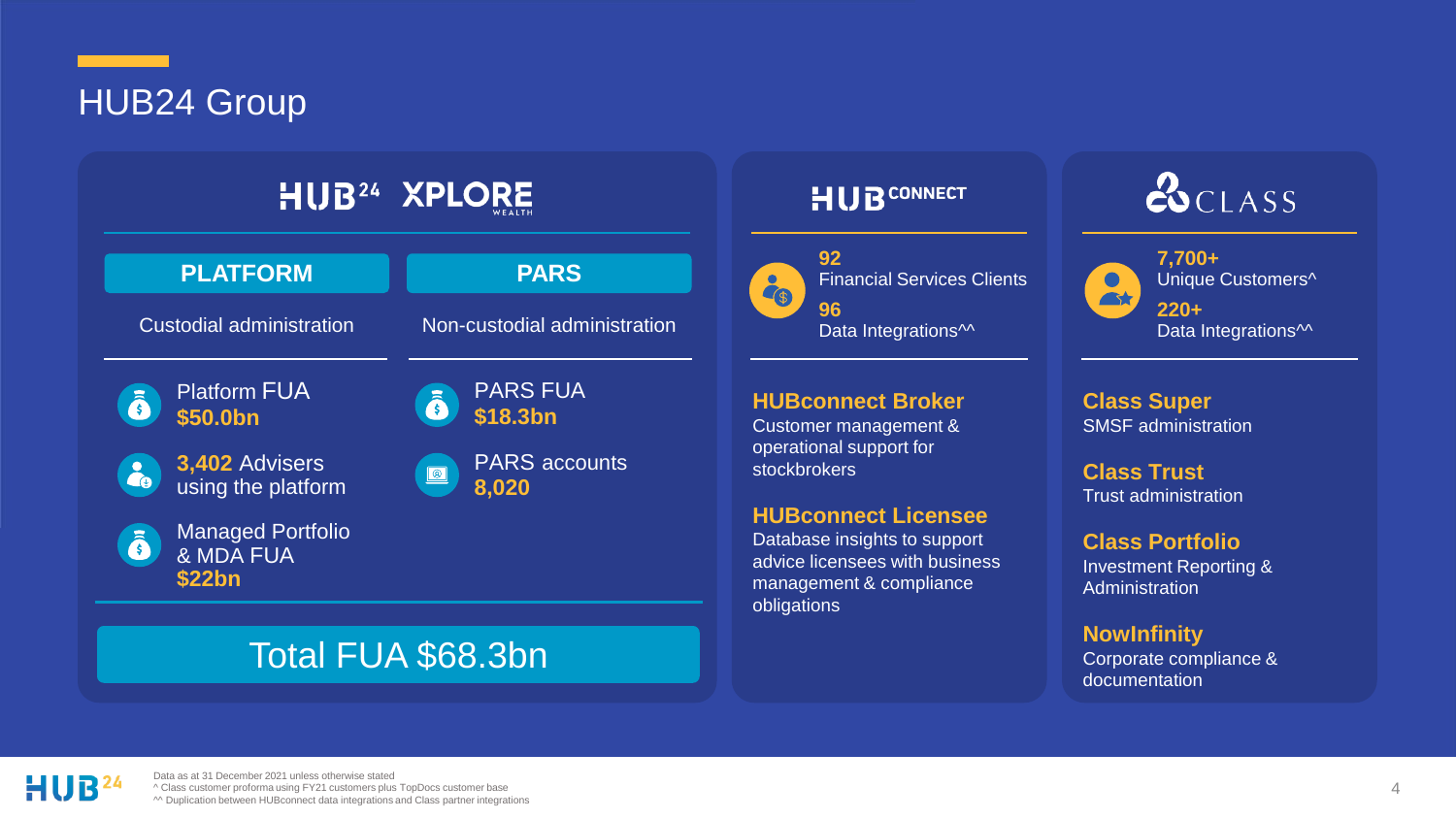HUB24 Group

| <b>HUB</b> <sup>24</sup> XPLORE                                             |                                                         |  |  |  |
|-----------------------------------------------------------------------------|---------------------------------------------------------|--|--|--|
| <b>PLATFORM</b>                                                             | <b>PARS</b>                                             |  |  |  |
| Custodial administration                                                    | Non-custodial administration                            |  |  |  |
| <b>Platform FUA</b><br>ā<br>\$50.0bn                                        | <b>PARS FUA</b><br>ā<br>\$18.3bn                        |  |  |  |
| 3,402 Advisers<br>$\mathbf{a}_\mathbf{0}$<br>using the platform             | <b>PARS</b> accounts<br>$\boxed{\circledcirc}$<br>8,020 |  |  |  |
| <b>Managed Portfolio</b><br>$\bar{\hat{\mathbf{s}}}$<br>& MDA FUA<br>\$22bn |                                                         |  |  |  |
|                                                                             |                                                         |  |  |  |

### Total FUA \$68.3bn

### **HUB**CONNECT



#### **\$18.3bn HUBconnect Broker**  Customer management & operational support for stockbrokers

#### **HUBconnect Licensee**

Database insights to support advice licensees with business management & compliance obligations

## $\alpha$ CLASS

**7,700+**  Unique Customers<sup>^</sup>  $\bullet$ **AX 220+**  Data Integrations<sup> $\sim$ </sup>

**Class Super** SMSF administration

**Class Trust** Trust administration

**Class Portfolio** Investment Reporting & **Administration** 

**NowInfinity** Corporate compliance & documentation



Data as at 31 December 2021 unless otherwise stated ^ Class customer proforma using FY21 customers plus TopDocs customer base ^^ Duplication between HUBconnect data integrations and Class partner integrations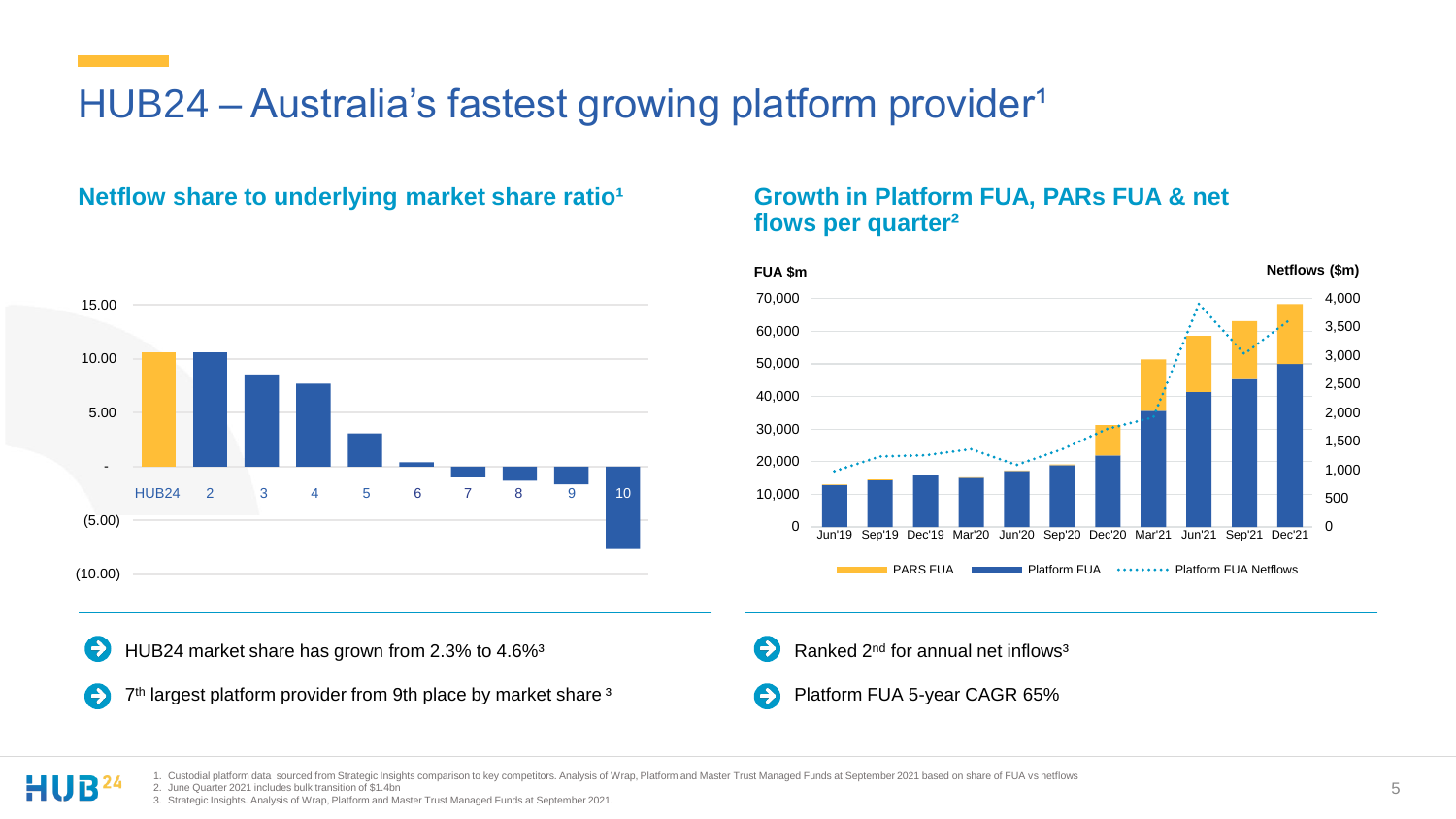### HUB24 – Australia's fastest growing platform provider<sup>1</sup>

### Netflow share to underlying market share ratio<sup>1</sup> **Growth in Platform FUA, PARs FUA & net**



€ HUB24 market share has grown from 2.3% to 4.6%<sup>3</sup>

7<sup>th</sup> largest platform provider from 9th place by market share<sup>3</sup>  $\rightarrow$ 

## **flows per quarter²**



- Э Ranked 2<sup>nd</sup> for annual net inflows<sup>3</sup>
- Platform FUA 5-year CAGR 65%

1. Custodial platform data sourced from Strategic Insights comparison to key competitors. Analysis of Wrap, Platform and Master Trust Managed Funds at September 2021 based on share of FUA vs netflows

2. June Quarter 2021 includes bulk transition of \$1.4bn

3. Strategic Insights. Analysis of Wrap, Platform and Master Trust Managed Funds at September 2021.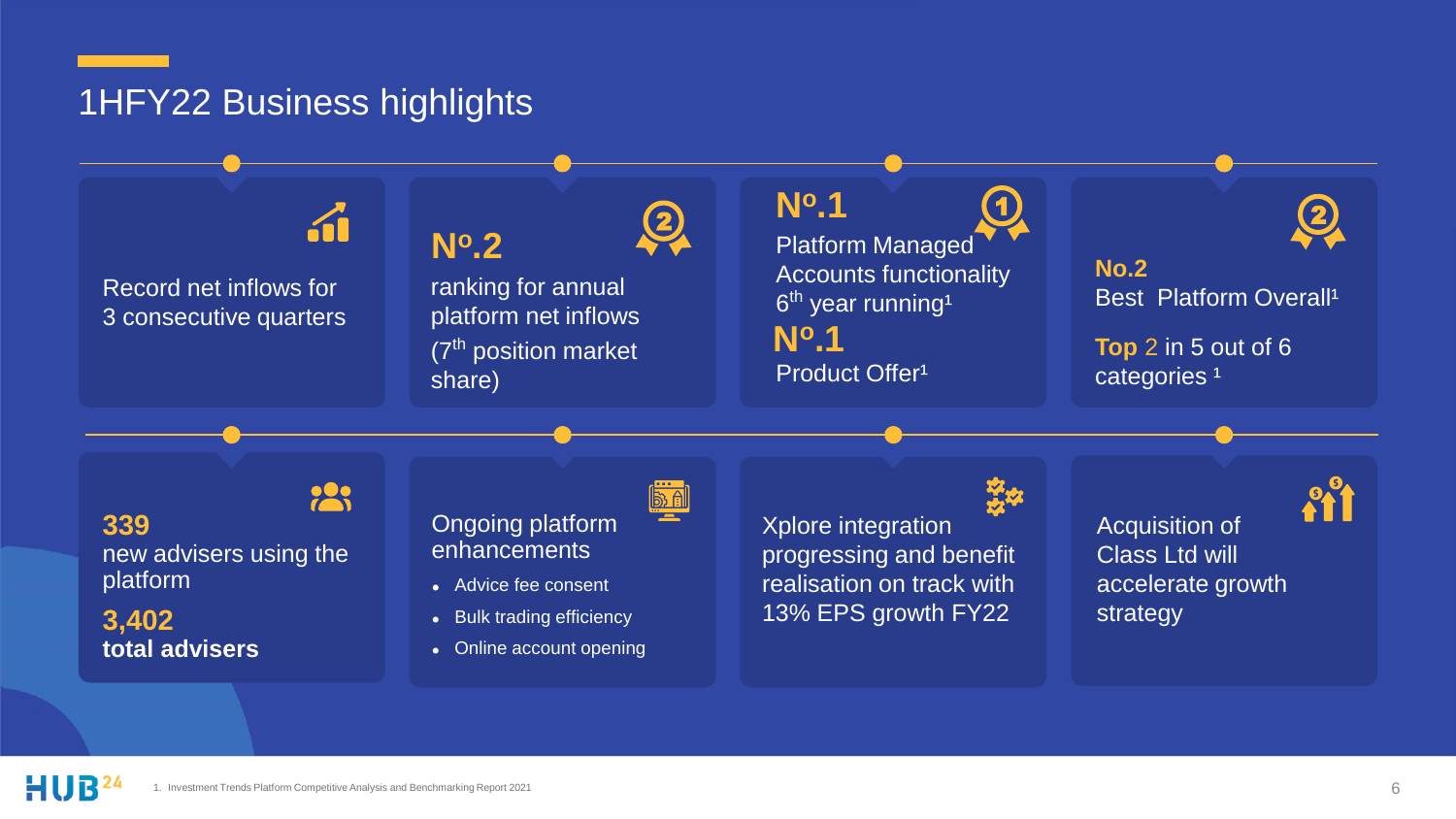### 1HFY22 Business highlights

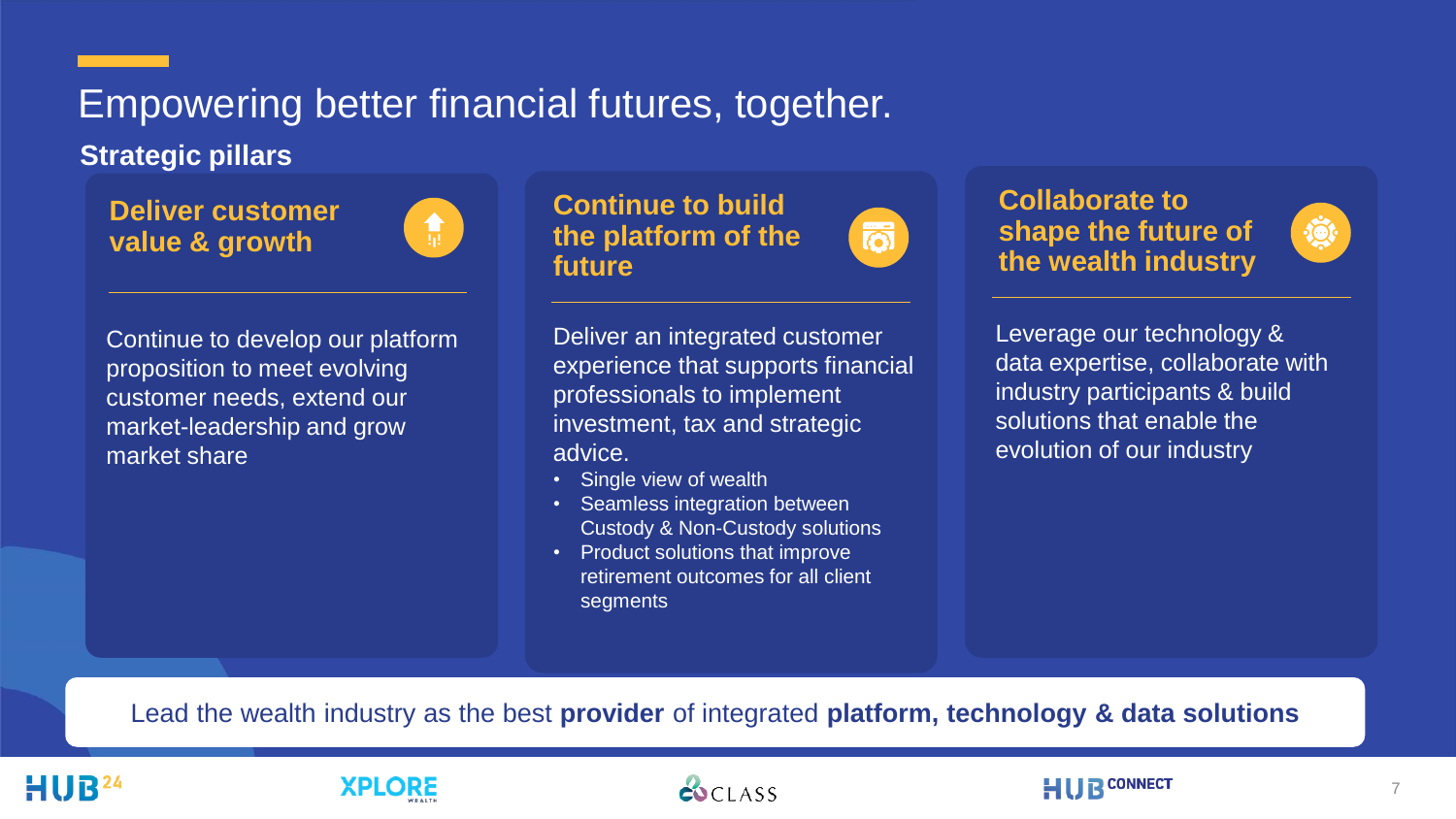### Empowering better financial futures, together.

**Strategic pillars** 

**Deliver customer value & growth**



Continue to develop our platform proposition to meet evolving customer needs, extend our market-leadership and grow market share

**Continue to build the platform of the future**

Deliver an integrated customer experience that supports financial professionals to implement investment, tax and strategic advice.

商

- Single view of wealth
- Seamless integration between Custody & Non-Custody solutions
- Product solutions that improve retirement outcomes for all client segments



 $\mathbf{Q}$ 

Leverage our technology & data expertise, collaborate with industry participants & build solutions that enable the evolution of our industry

Lead the wealth industry as the best **provider** of integrated **platform, technology & data solutions**

### **XPLORE**

**ESCLASS**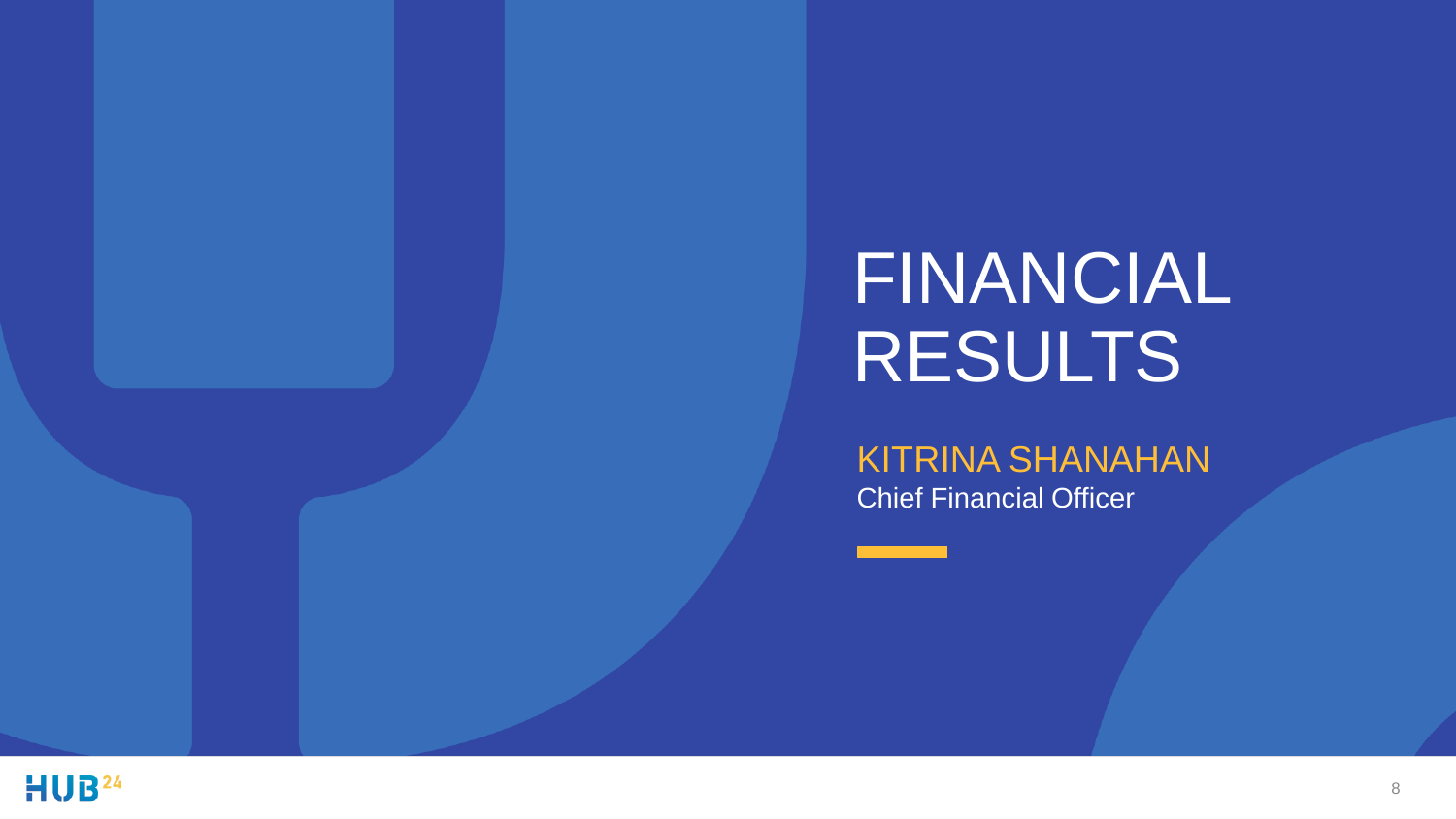# FINANCIAL RESULTS

## KITRINA SHANAHAN

Chief Financial Officer

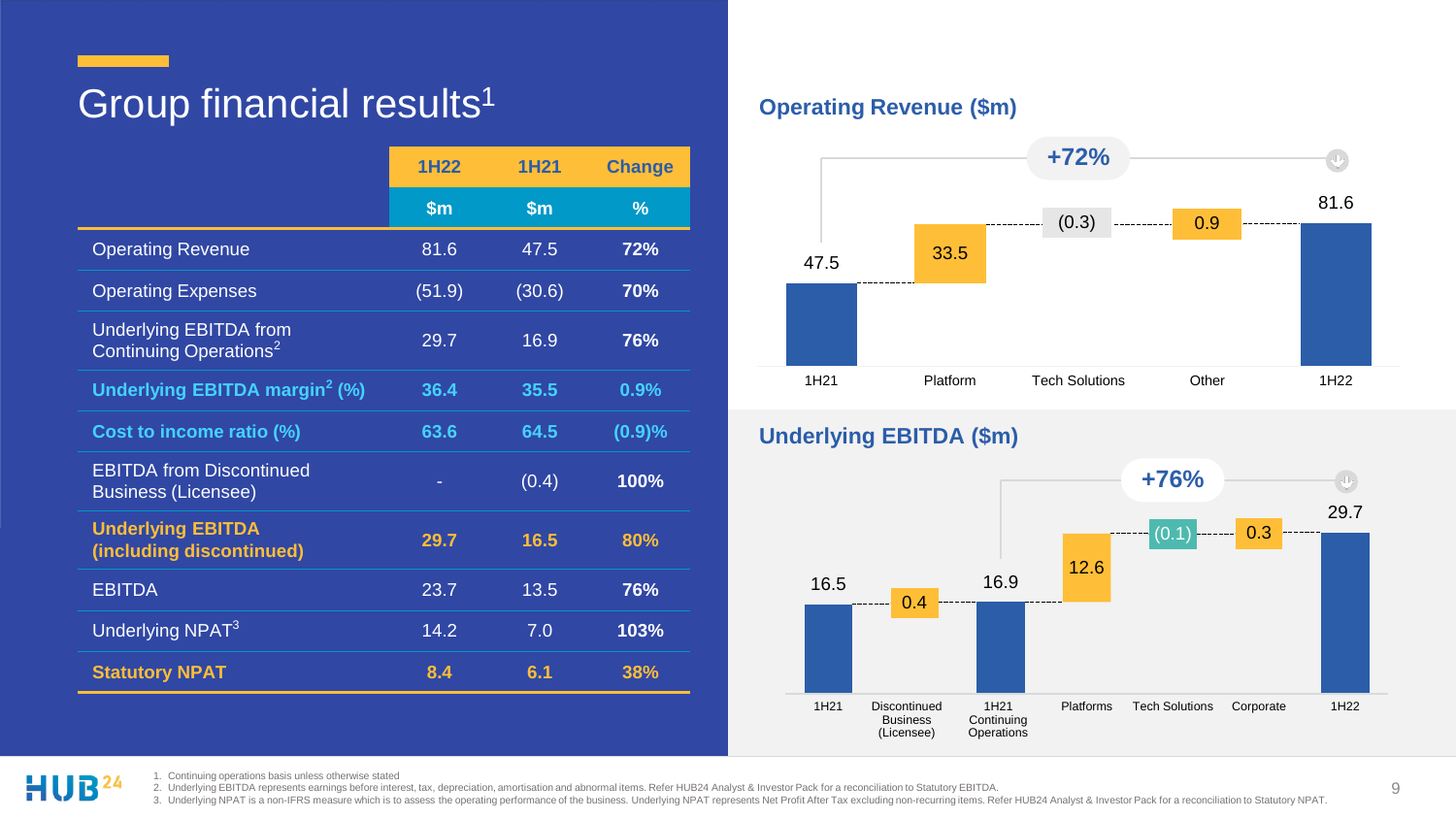### Group financial results<sup>1</sup>

|                                                                     | 1H22   | <b>1H21</b>   | <b>Change</b> |
|---------------------------------------------------------------------|--------|---------------|---------------|
|                                                                     | \$m    | $\mathsf{sm}$ | $\frac{9}{6}$ |
| <b>Operating Revenue</b>                                            | 81.6   | 47.5          | 72%           |
| <b>Operating Expenses</b>                                           | (51.9) | (30.6)        | <b>70%</b>    |
| <b>Underlying EBITDA from</b><br>Continuing Operations <sup>2</sup> | 29.7   | 16.9          | 76%           |
| Underlying EBITDA margin <sup>2</sup> (%)                           | 36.4   | 35.5          | 0.9%          |
| Cost to income ratio (%)                                            | 63.6   | 64.5          | (0.9)%        |
| <b>EBITDA</b> from Discontinued<br><b>Business (Licensee)</b>       |        | (0.4)         | 100%          |
| <b>Underlying EBITDA</b><br>(including discontinued)                | 29.7   | 16.5          | 80%           |
| <b>EBITDA</b>                                                       | 23.7   | 13.5          | 76%           |
| Underlying NPAT <sup>3</sup>                                        | 14.2   | 7.0           | 103%          |
| <b>Statutory NPAT</b>                                               | 8.4    | 6.1           | 38%           |

### **Operating Revenue (\$m)**



### **Underlying EBITDA (\$m)**



1. Continuing operations basis unless otherwise stated HUB<sup>24</sup>

2. Underlying EBITDA represents earnings before interest, tax, depreciation, amortisation and abnormal items. Refer HUB24 Analyst & Investor Pack for a reconciliation to Statutory EBITDA.

3. Underlying NPAT is a non-IFRS measure which is to assess the operating performance of the business. Underlying NPAT represents Net Profit After Tax excluding non-recurring items. Refer HUB24 Analyst & Investor Pack for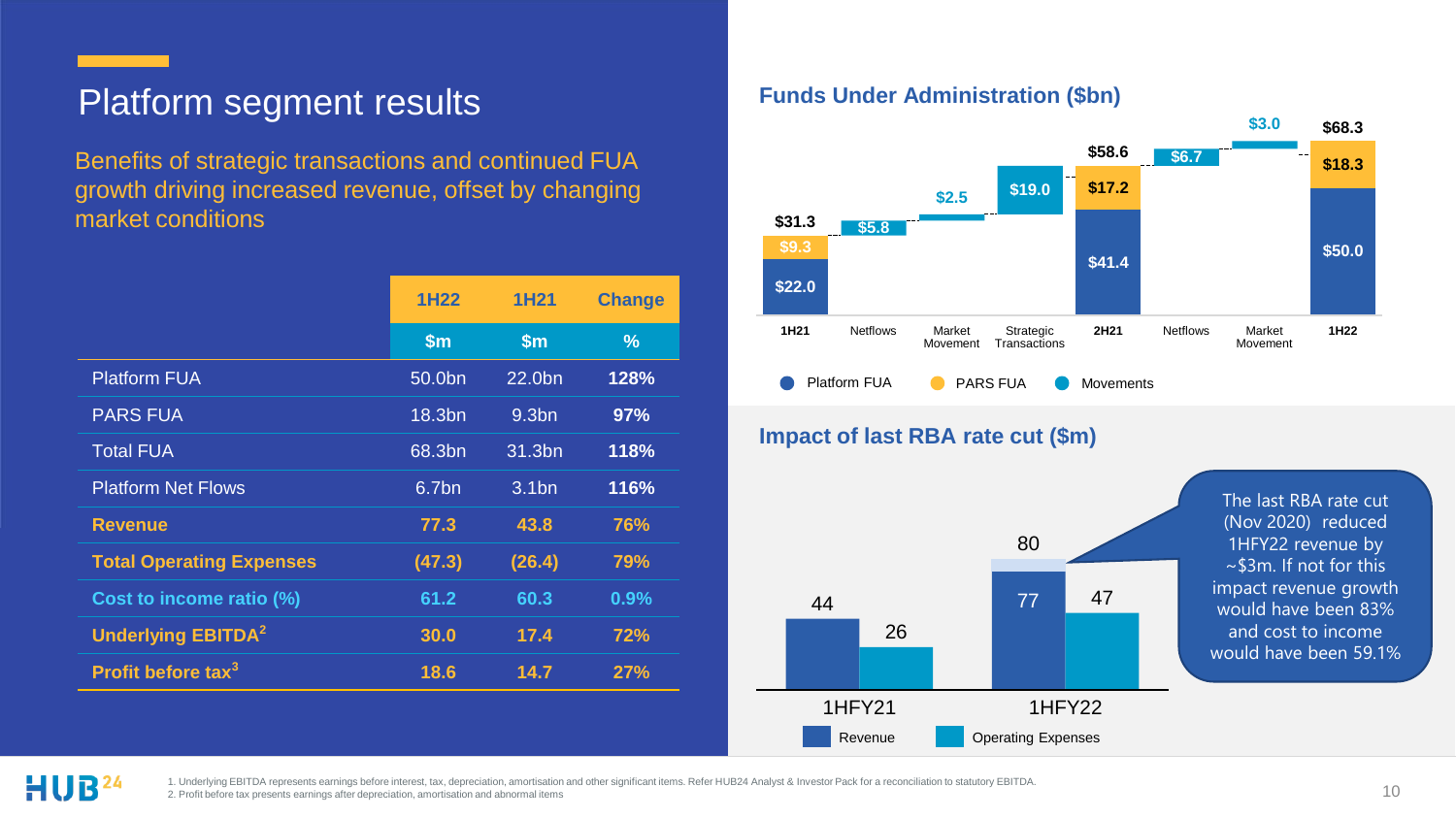### Platform segment results

Benefits of strategic transactions and continued FUA growth driving increased revenue, offset by changing market conditions

|                                      | 1H <sub>22</sub>   | 1H <sub>21</sub>  | <b>Change</b> |
|--------------------------------------|--------------------|-------------------|---------------|
|                                      | $\mathsf{sm}$      | $\mathbf{\$m}$    | $\frac{9}{6}$ |
| <b>Platform FUA</b>                  | 50.0 <sub>bn</sub> | 22.0bn            | 128%          |
| <b>PARS FUA</b>                      | 18.3bn             | 9.3 <sub>bn</sub> | 97%           |
| <b>Total FUA</b>                     | 68.3bn             | 31.3bn            | 118%          |
| <b>Platform Net Flows</b>            | 6.7bn              | 3.1 <sub>bn</sub> | 116%          |
| <b>Revenue</b>                       | 77.3               | 43.8              | 76%           |
| <b>Total Operating Expenses</b>      | (47.3)             | (26.4)            | 79%           |
| Cost to income ratio (%)             | 61.2               | 60.3              | 0.9%          |
| <b>Underlying EBITDA<sup>2</sup></b> | 30.0               | 17.4              | 72%           |
| Profit before tax <sup>3</sup>       | 18.6               | 14.7              | 27%           |

#### **Funds Under Administration (\$bn)**





HUB<sup>24</sup>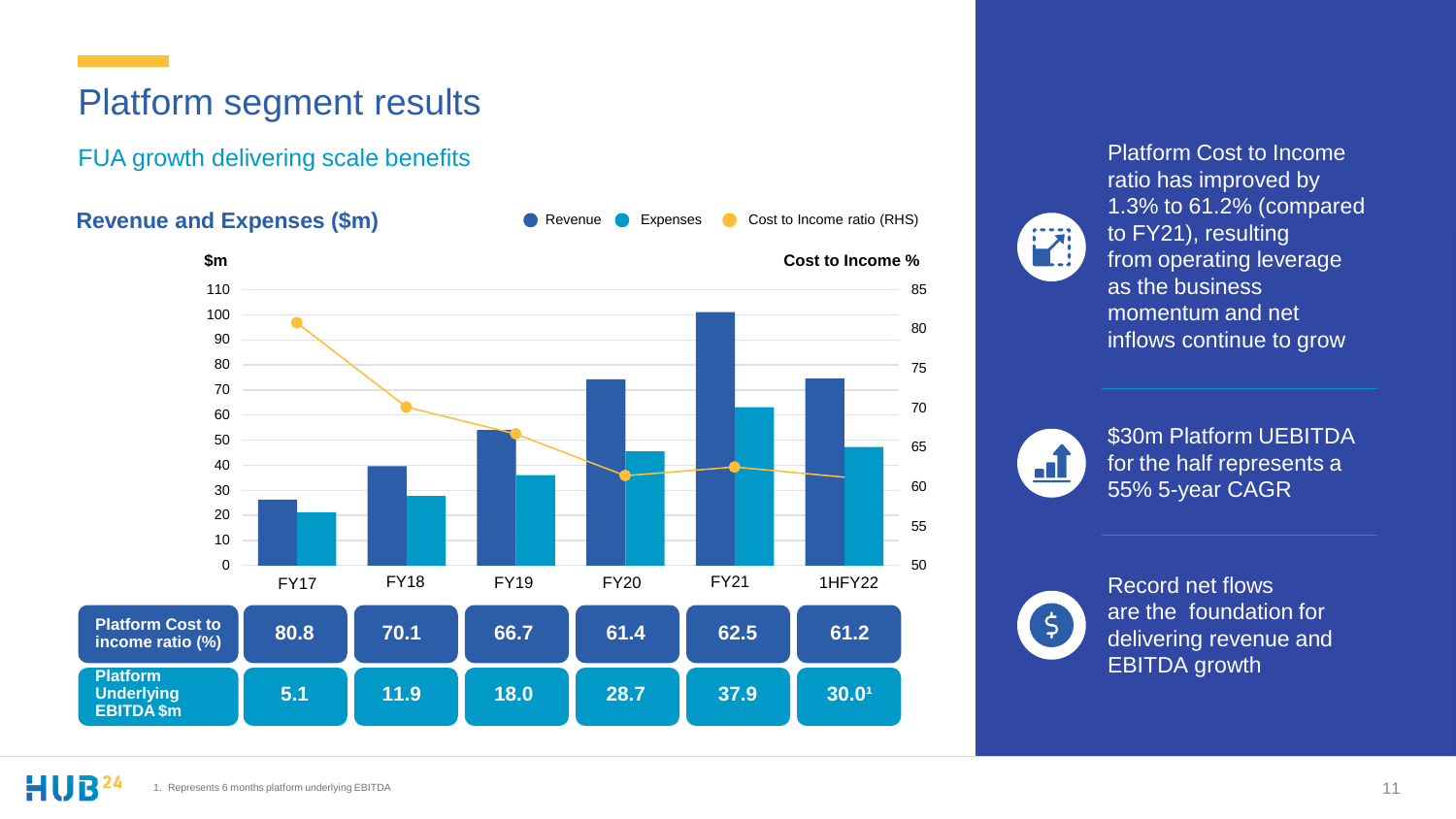### Platform segment results

FUA growth delivering scale benefits

#### **Revenue and Expenses (\$m)**



Revenue **C** Expenses Cost to Income ratio (RHS)

Platform Cost to Income **FA** 

ratio has improved by 1.3% to 61.2% (compared to FY21), resulting from operating leverage as the business momentum and net inflows continue to grow



\$30m Platform UEBITDA for the half represents a 55% 5-year CAGR



Record net flows are the foundation for delivering revenue and EBITDA growth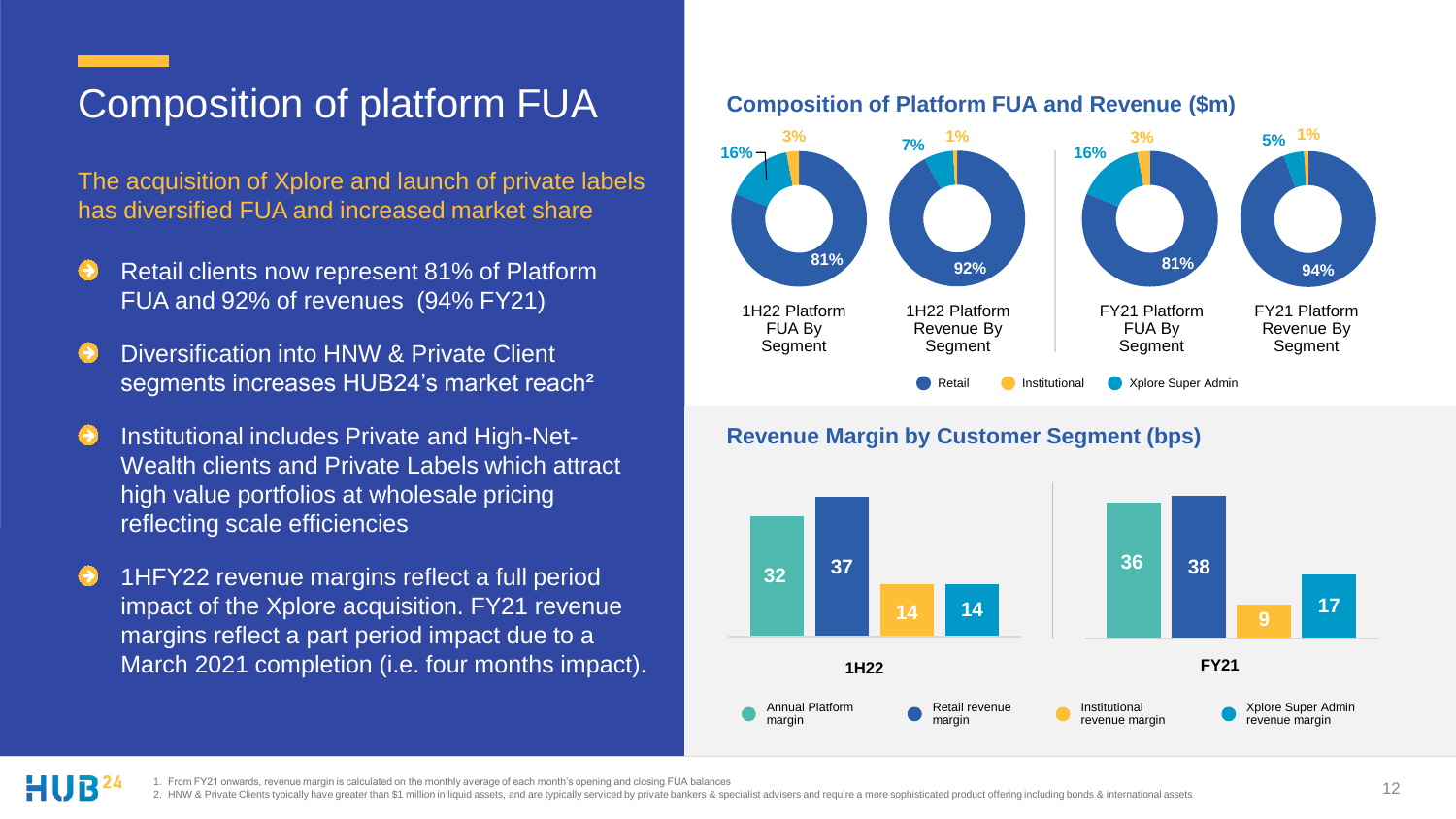### Composition of platform FUA

The acquisition of Xplore and launch of private labels has diversified FUA and increased market share

- Retail clients now represent 81% of Platform FUA and 92% of revenues (94% FY21)
- Diversification into HNW & Private Client segments increases HUB24's market reach²
- Institutional includes Private and High-Net-Wealth clients and Private Labels which attract high value portfolios at wholesale pricing reflecting scale efficiencies
- 1HFY22 revenue margins reflect a full period impact of the Xplore acquisition. FY21 revenue margins reflect a part period impact due to a March 2021 completion (i.e. four months impact).

#### **Composition of Platform FUA and Revenue (\$m)**



#### **Revenue Margin by Customer Segment (bps)**

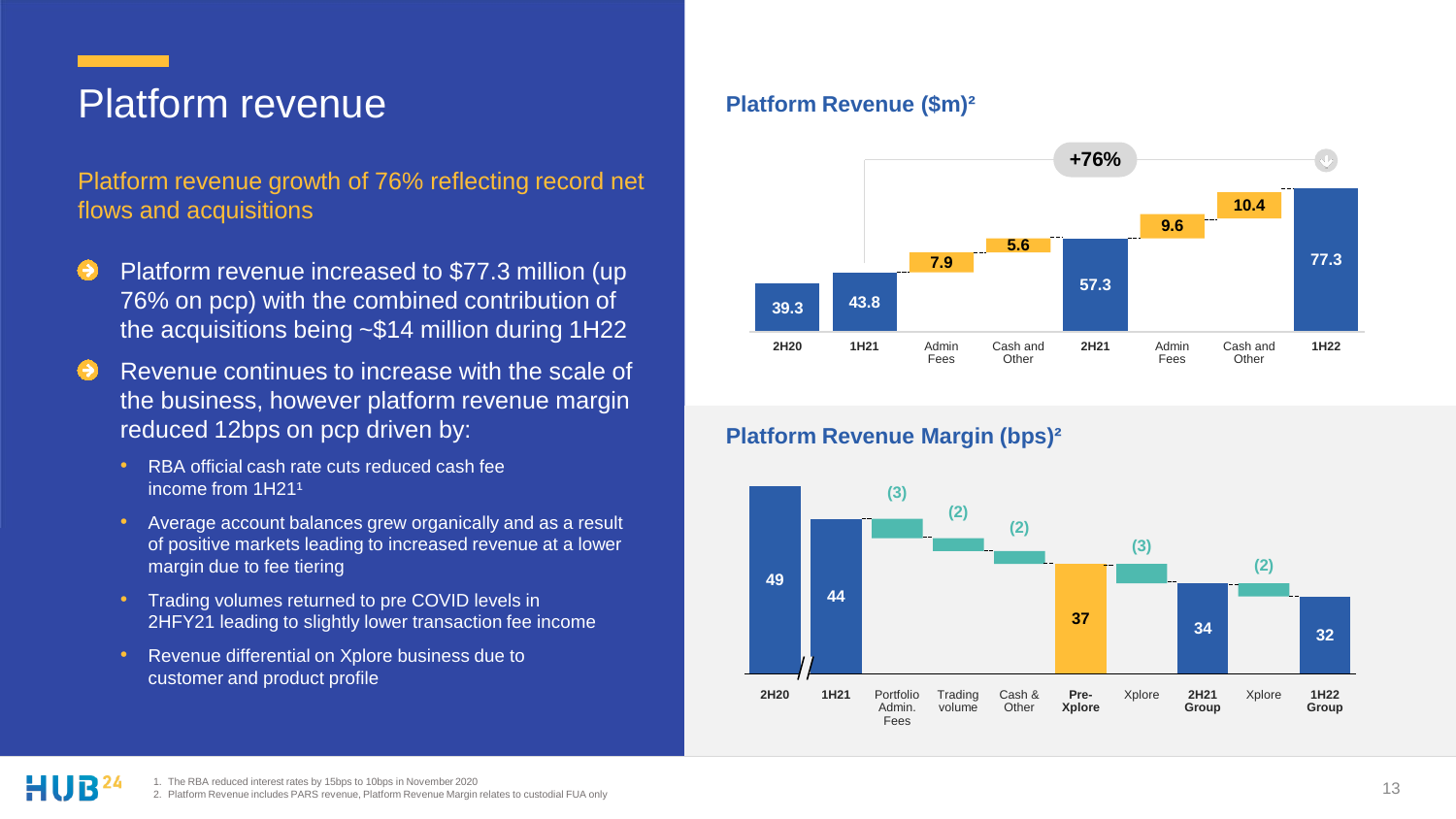### Platform revenue

Platform revenue growth of 76% reflecting record net flows and acquisitions

- Platform revenue increased to \$77.3 million (up 76% on pcp) with the combined contribution of the acquisitions being ~\$14 million during 1H22
- Revenue continues to increase with the scale of the business, however platform revenue margin reduced 12bps on pcp driven by:
	- RBA official cash rate cuts reduced cash fee income from 1H21<sup>1</sup>
	- Average account balances grew organically and as a result of positive markets leading to increased revenue at a lower margin due to fee tiering
	- Trading volumes returned to pre COVID levels in 2HFY21 leading to slightly lower transaction fee income
	- Revenue differential on Xplore business due to customer and product profile

#### **Platform Revenue (\$m)²**



#### **Platform Revenue Margin (bps)²**

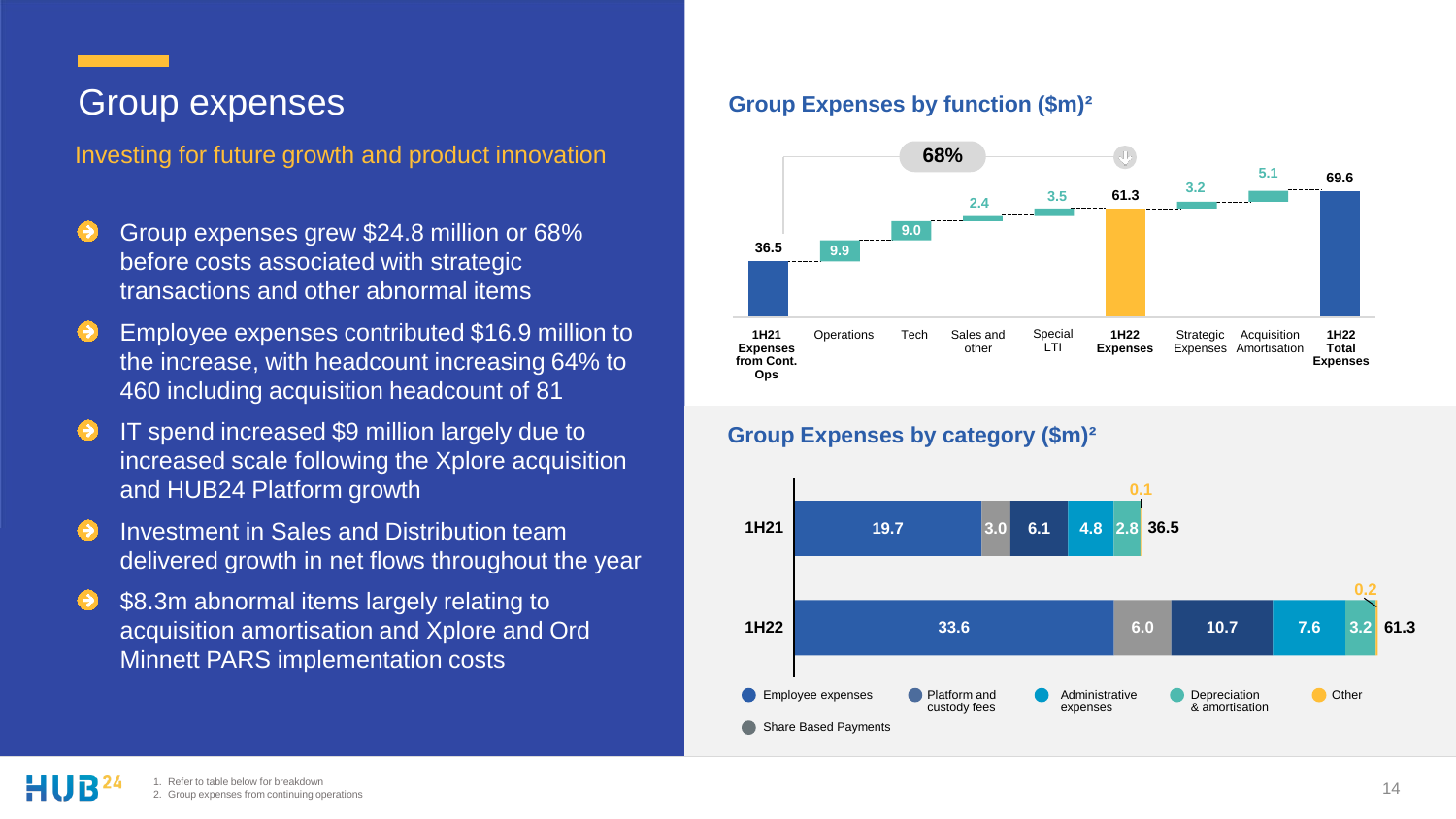### Group expenses

Investing for future growth and product innovation **68%**

- Group expenses grew \$24.8 million or 68% before costs associated with strategic transactions and other abnormal items
- Employee expenses contributed \$16.9 million to the increase, with headcount increasing 64% to 460 including acquisition headcount of 81
- IT spend increased \$9 million largely due to increased scale following the Xplore acquisition and HUB24 Platform growth
- Investment in Sales and Distribution team delivered growth in net flows throughout the year
- \$8.3m abnormal items largely relating to acquisition amortisation and Xplore and Ord Minnett PARS implementation costs

#### **Group Expenses by function (\$m)²**



#### **Group Expenses by category (\$m)²**

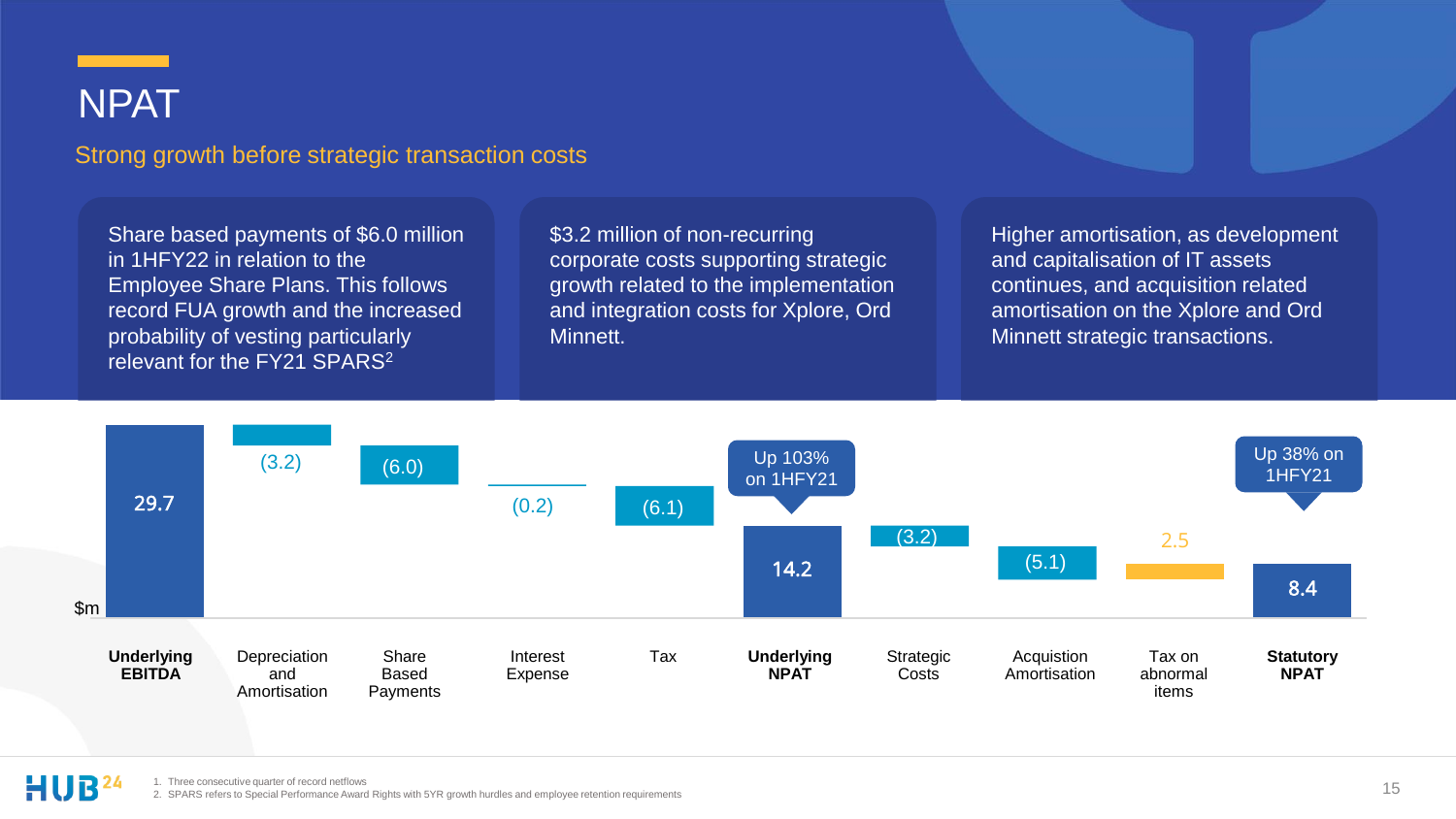### NPAT

#### Strong growth before strategic transaction costs

Share based payments of \$6.0 million in 1HFY22 in relation to the Employee Share Plans. This follows record FUA growth and the increased probability of vesting particularly relevant for the FY21 SPARS<sup>2</sup>

\$3.2 million of non-recurring corporate costs supporting strategic growth related to the implementation and integration costs for Xplore, Ord Minnett.

Higher amortisation, as development and capitalisation of IT assets continues, and acquisition related amortisation on the Xplore and Ord Minnett strategic transactions.

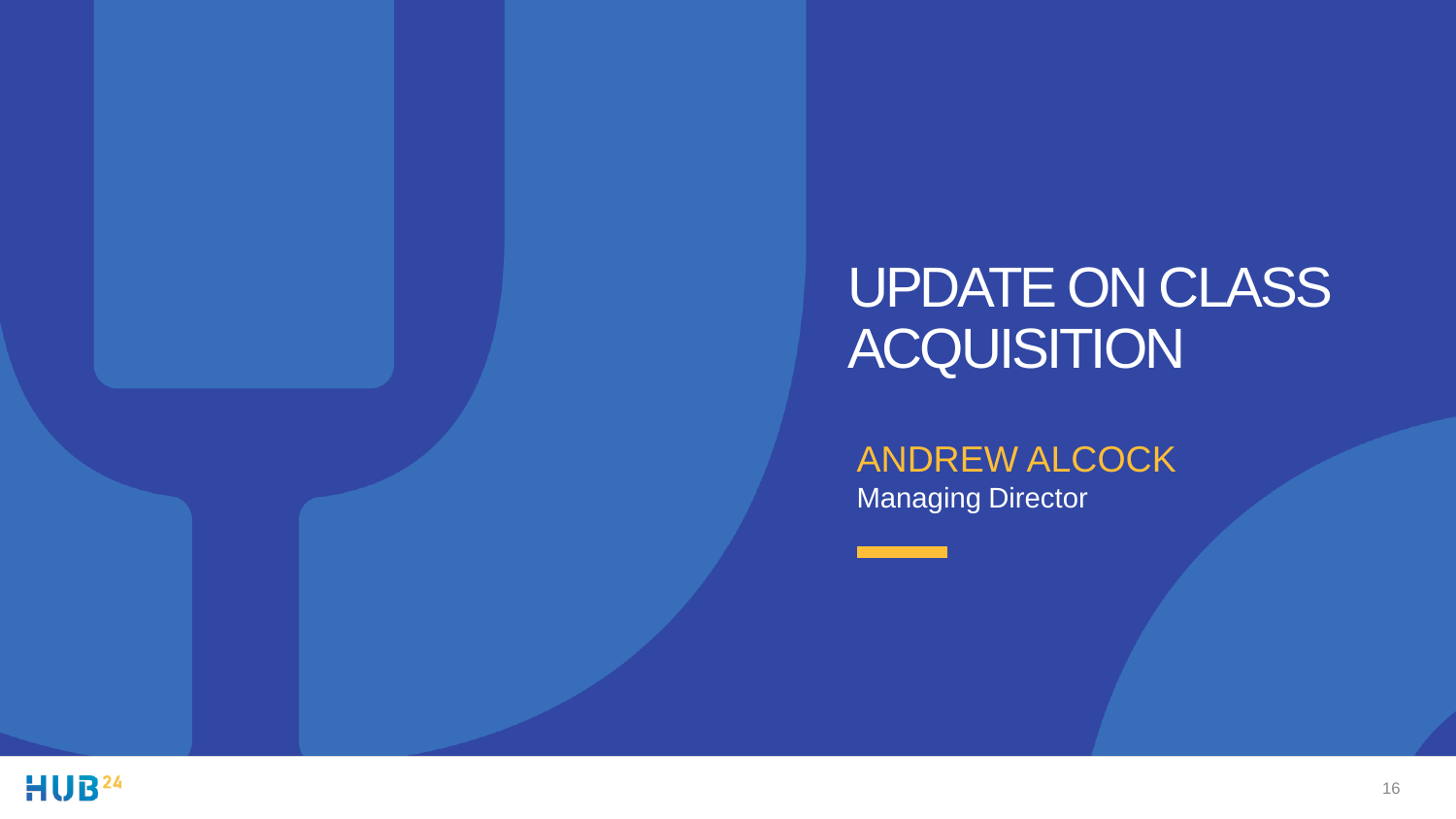## UPDATE ON CLASS **ACQUISITION**

ANDREW ALCOCK Managing Director

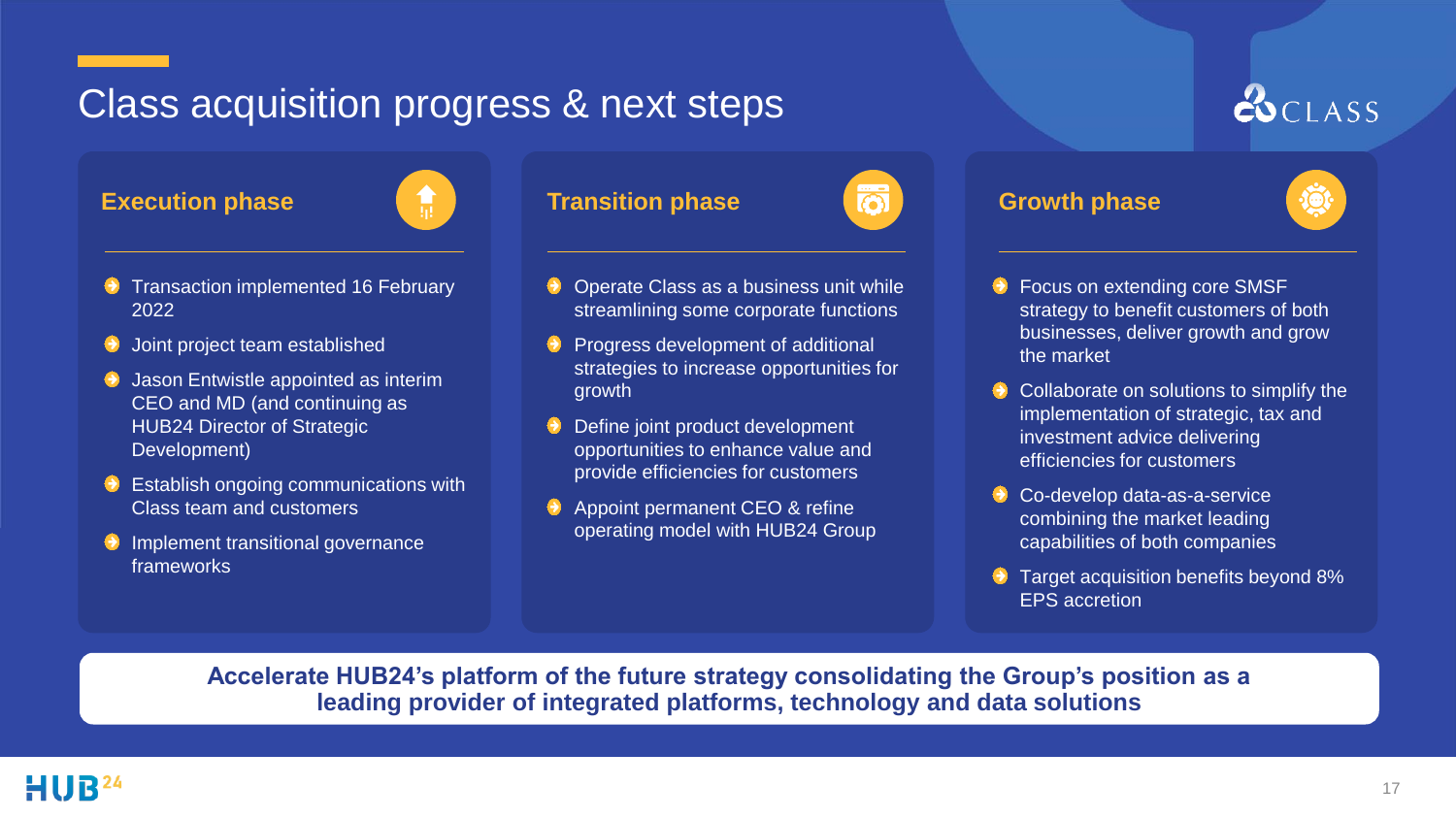### Class acquisition progress & next steps



- Transaction implemented 16 February 2022
- Joint project team established
- Jason Entwistle appointed as interim CEO and MD (and continuing as HUB24 Director of Strategic Development)
- $\Theta$  Establish ongoing communications with Class team and customers
- $\Theta$  Implement transitional governance frameworks

#### **Execution phase Transition phase Growth phase**

growth





 $COCLAS$ 

- Focus on extending core SMSF strategy to benefit customers of both businesses, deliver growth and grow the market
- Collaborate on solutions to simplify the implementation of strategic, tax and investment advice delivering efficiencies for customers
- Co-develop data-as-a-service combining the market leading capabilities of both companies
- **Target acquisition benefits beyond 8%** EPS accretion

**Accelerate HUB24's platform of the future strategy consolidating the Group's position as a leading provider of integrated platforms, technology and data solutions**

Operate Class as a business unit while streamlining some corporate functions

 $\Theta$  Progress development of additional strategies to increase opportunities for

Define joint product development opportunities to enhance value and provide efficiencies for customers A Appoint permanent CEO & refine operating model with HUB24 Group

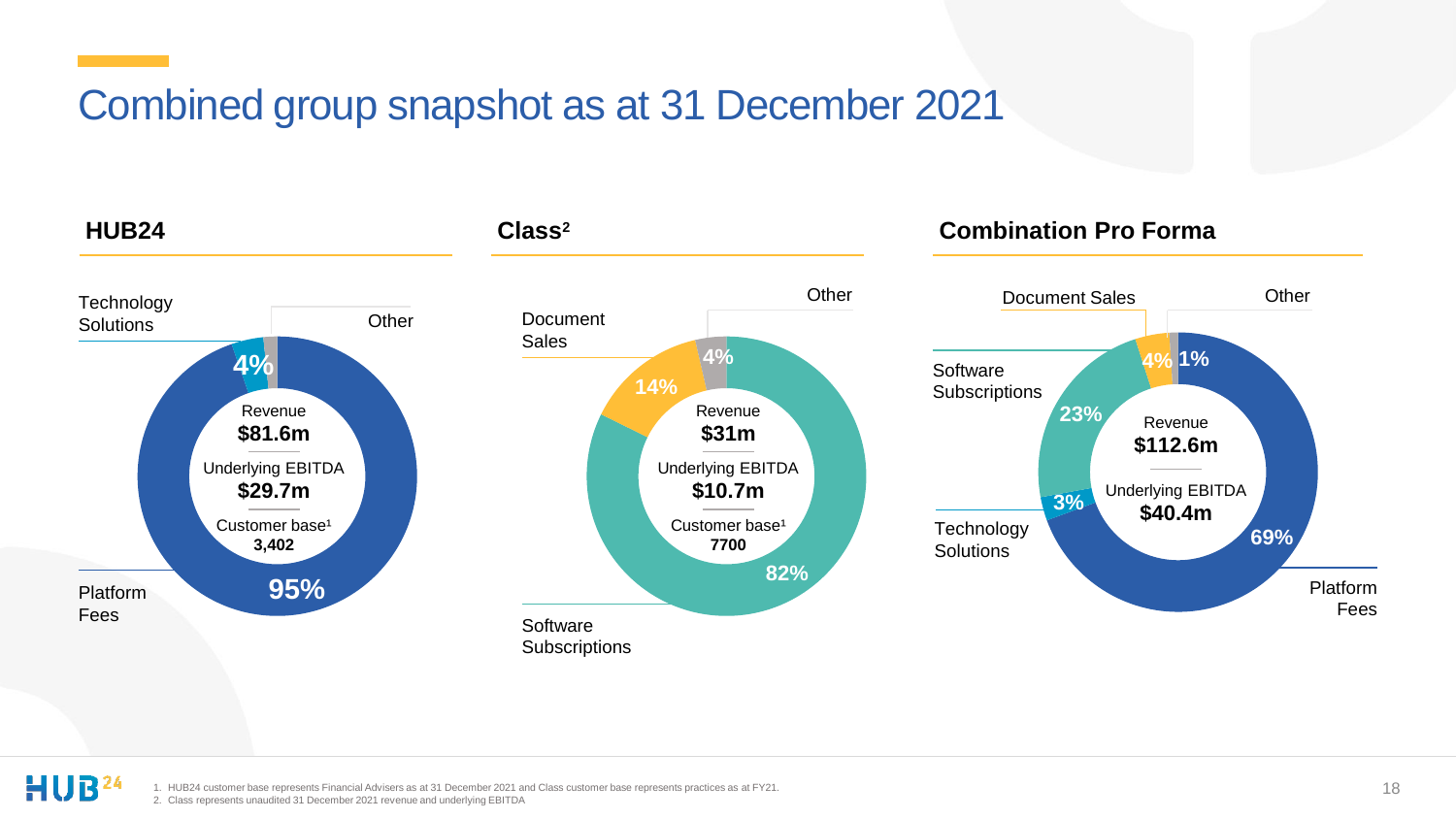### Combined group snapshot as at 31 December 2021



HUB<sup>24</sup>

1. HUB24 customer base represents Financial Advisers as at 31 December 2021 and Class customer base represents practices as at FY21. 2. Class represents unaudited 31 December 2021 revenue and underlying EBITDA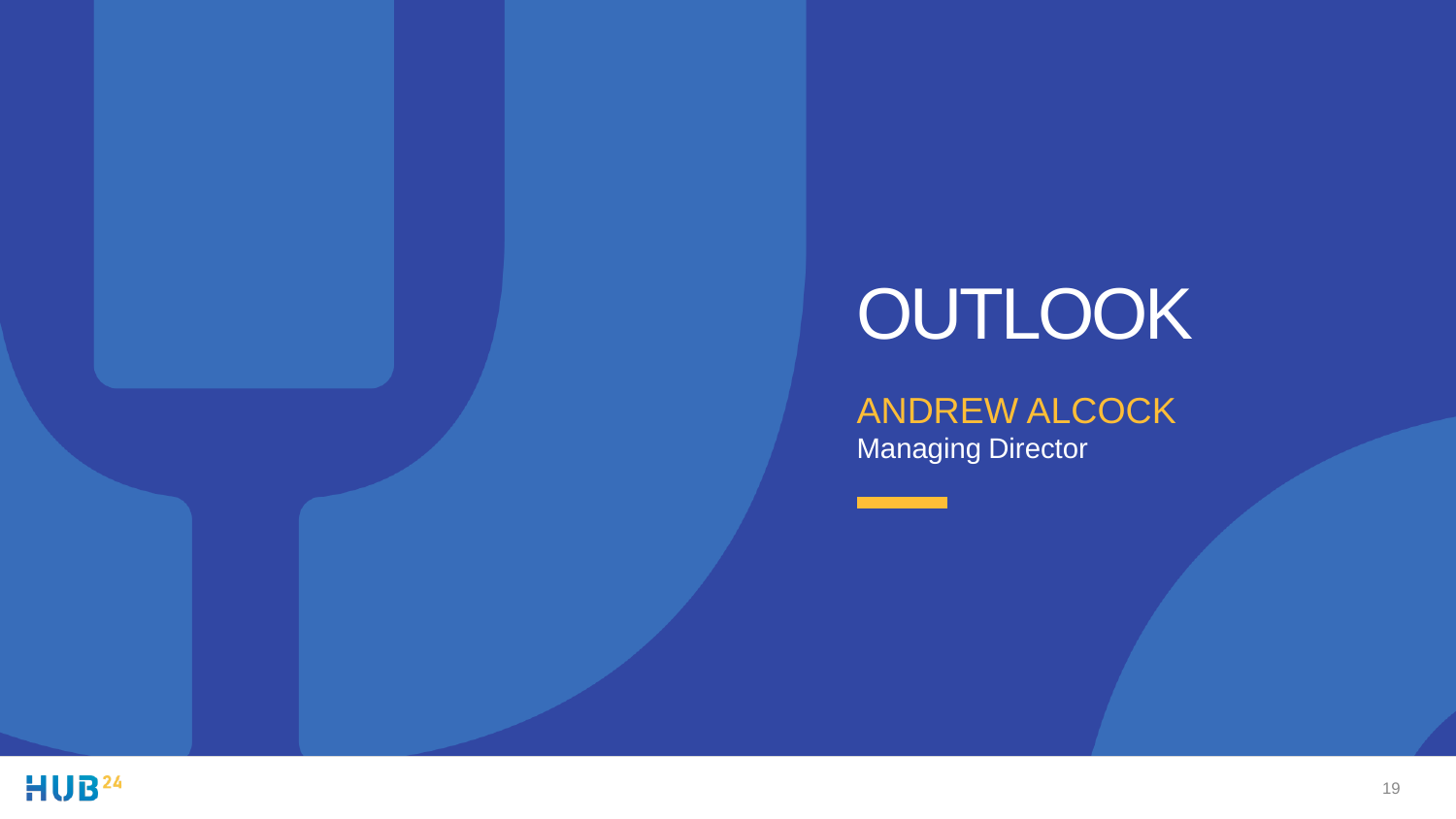# **OUTLOOK**

ANDREW ALCOCK Managing Director

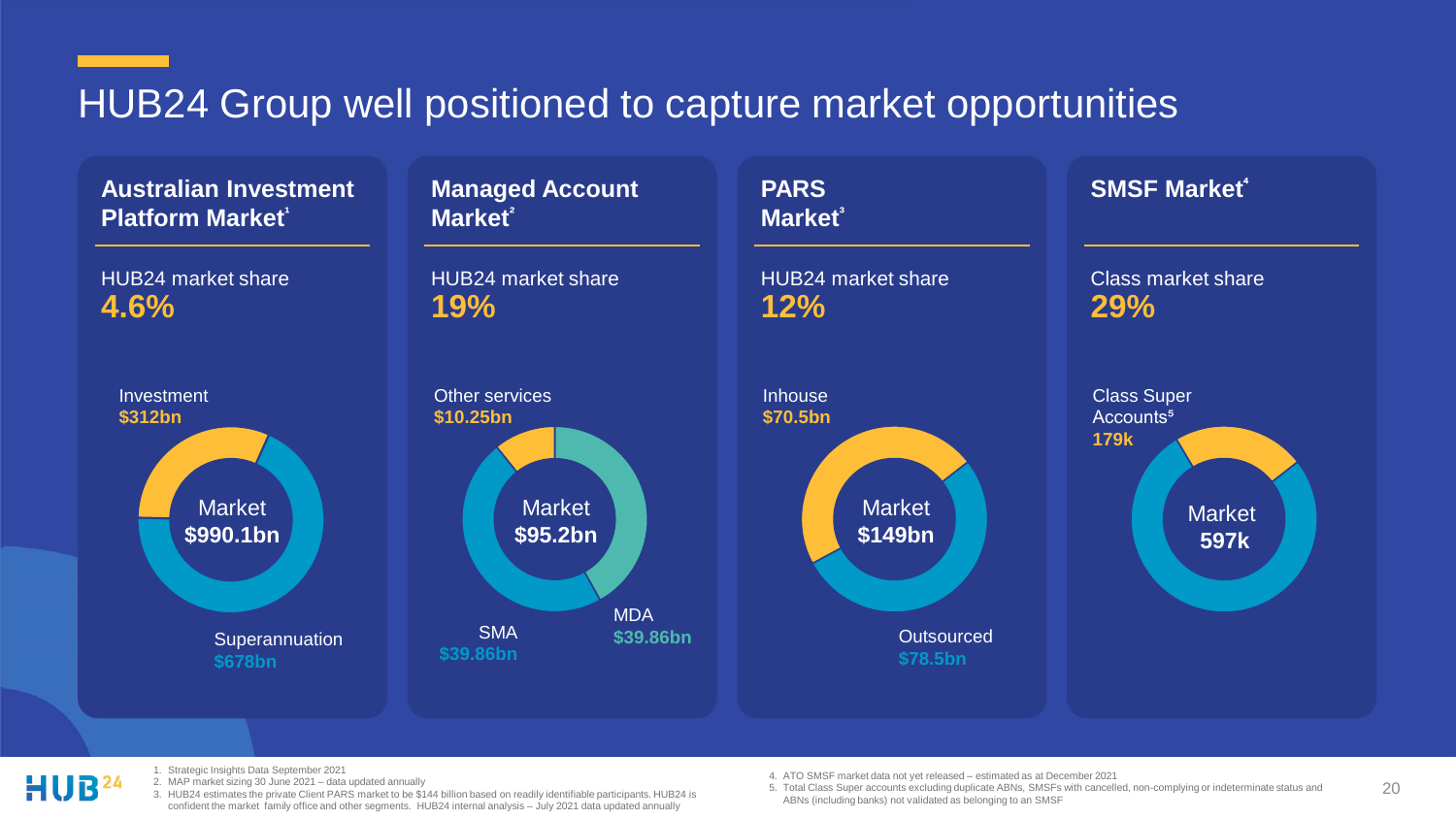### HUB24 Group well positioned to capture market opportunities

HUB24 market share **4.6%** Market **\$990.1bn Superannuation \$678bn** Investment **\$312bn Australian Investment Platform Market**<sup>1</sup> Market **\$149bn PARS Market<sup>³</sup>** HUB24 market share **12%**  Outsourced **\$78.5bn Inhouse \$70.5bn Managed Account Market<sup>²</sup>** HUB24 market share **19%** Market **\$95.2bn** Other services **\$10.25bn** SMA **\$39.86bn** Market **597k SMSF Market<sup>⁴</sup>** Class market share **29%**  Class Super Accounts<sup>5</sup> **179k** MDA **\$39.86bn**

- 
- 1. Strategic Insights Data September 2021
- 2. MAP market sizing 30 June 2021 data updated annually
- 3. HUB24 estimates the private Client PARS market to be \$144 billion based on readily identifiable participants. HUB24 is confident the market family office and other segments. HUB24 internal analysis – July 2021 data updated annually
- 4. ATO SMSF market data not yet released estimated as at December 2021
- 5. Total Class Super accounts excluding duplicate ABNs, SMSFs with cancelled, non-complying or indeterminate status and ABNs (including banks) not validated as belonging to an SMSF

20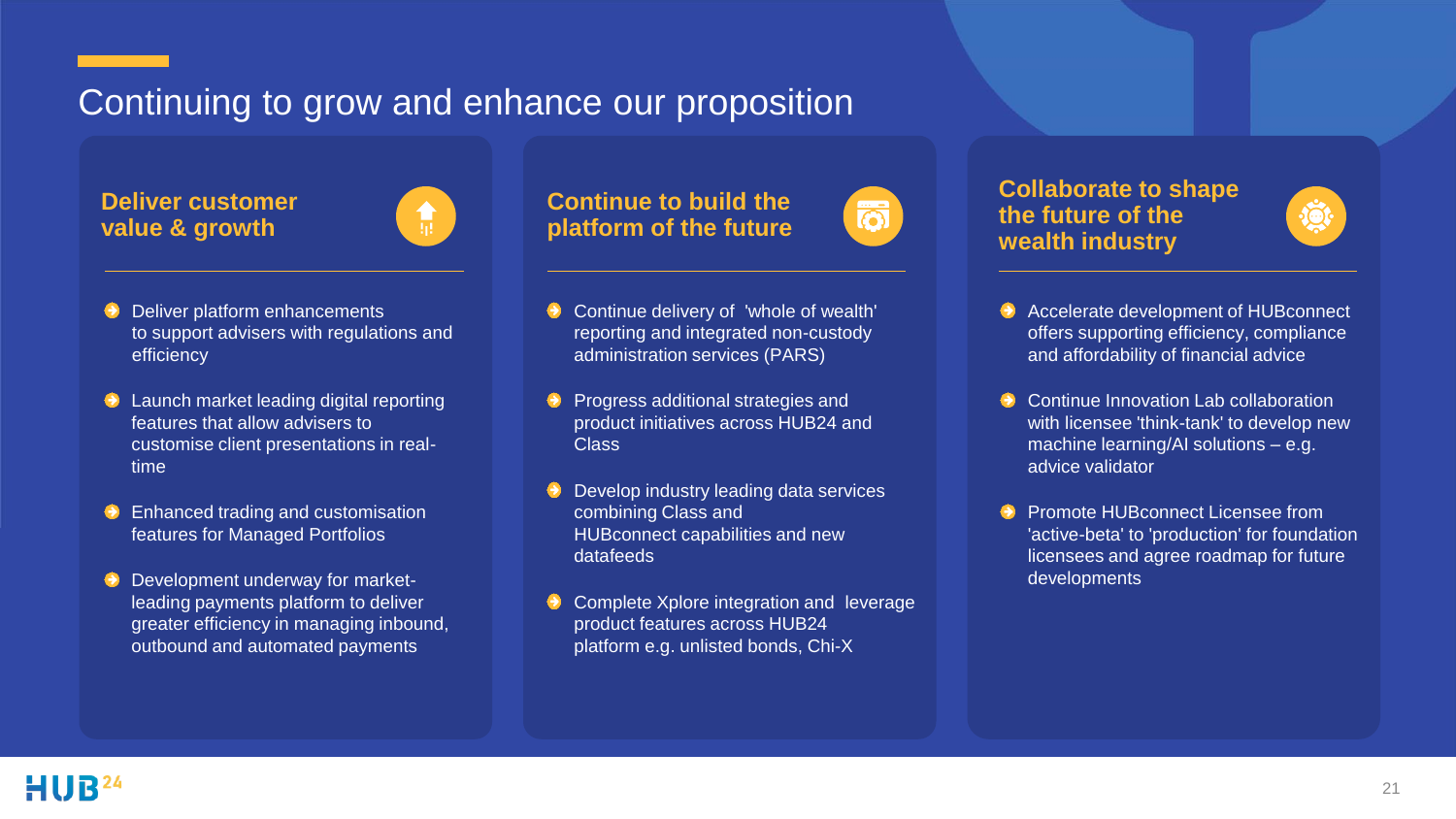### Continuing to grow and enhance our proposition

**Deliver customer value & growth**



- $\Theta$  Deliver platform enhancements to support advisers with regulations and efficiency
- **E** Launch market leading digital reporting features that allow advisers to customise client presentations in realtime
- Enhanced trading and customisation features for Managed Portfolios
- **Development underway for market**leading payments platform to deliver greater efficiency in managing inbound, outbound and automated payments

#### **Continue to build the platform of the future**

- Continue delivery of 'whole of wealth' reporting and integrated non-custody administration services (PARS)
- Progress additional strategies and product initiatives across HUB24 and Class
- Develop industry leading data services combining Class and HUBconnect capabilities and new datafeeds
- Complete Xplore integration and leverage product features across HUB24 platform e.g. unlisted bonds, Chi-X



#### **Collaborate to shape the future of the wealth industry**



- Accelerate development of HUBconnect offers supporting efficiency, compliance and affordability of financial advice
- Continue Innovation Lab collaboration with licensee 'think-tank' to develop new machine learning/AI solutions – e.g. advice validator
- Promote HUBconnect Licensee from 'active-beta' to 'production' for foundation licensees and agree roadmap for future developments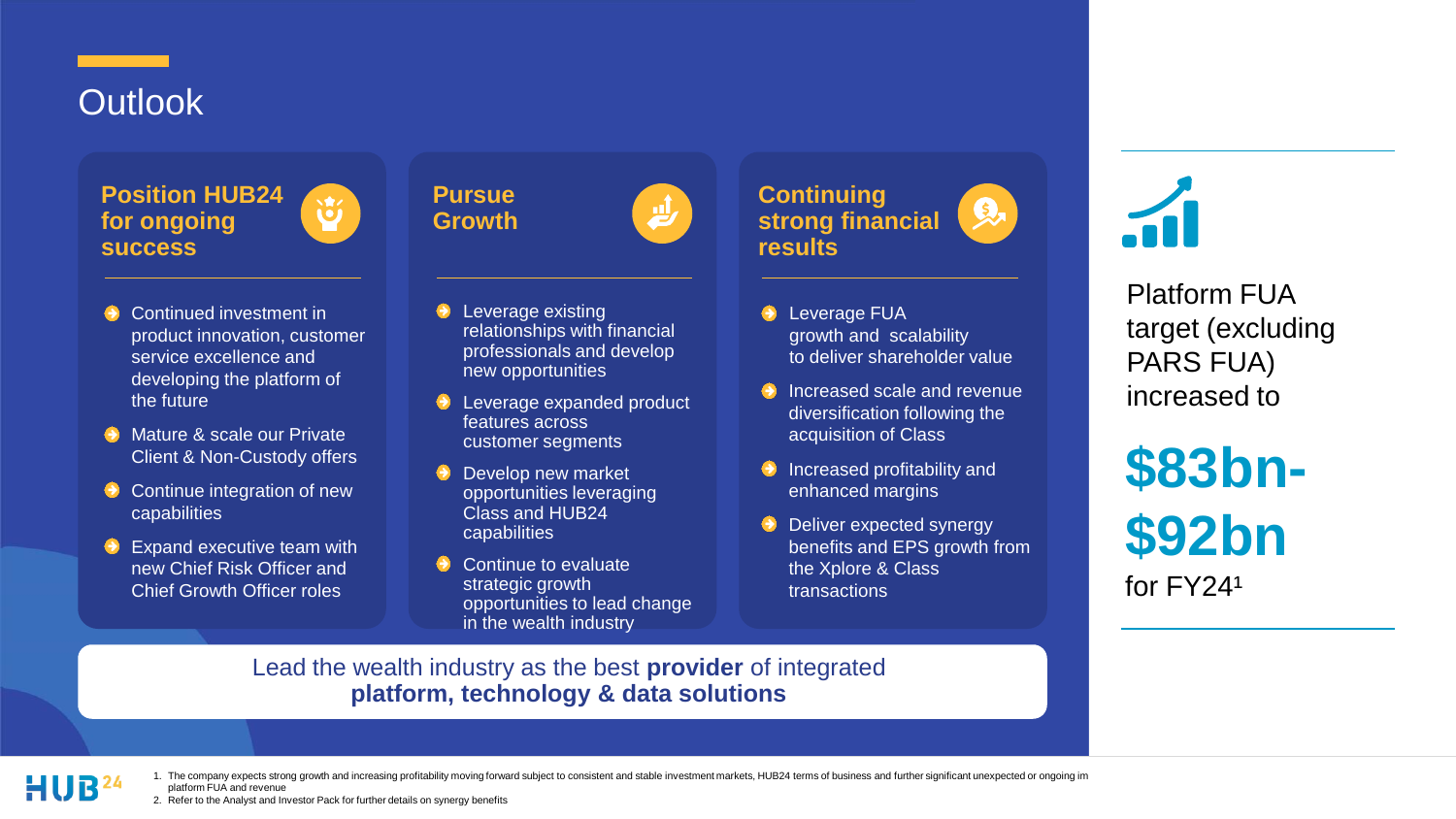### **Outlook**

**Position HUB24 for ongoing success**



道

Continued investment in product innovation, customer service excellence and developing the platform of the future

- **Mature & scale our Private** Client & Non-Custody offers
- Continue integration of new capabilities
- $\Theta$  Expand executive team with new Chief Risk Officer and Chief Growth Officer roles

Leverage existing relationships with financial professionals and develop new opportunities

少

- Leverage expanded product features across customer segments
- Develop new market opportunities leveraging Class and HUB24 capabilities
- Continue to evaluate strategic growth opportunities to lead change in the wealth industry



- Leverage FUA  $\bullet$ growth and scalability to deliver shareholder value
- $\Theta$  Increased scale and revenue diversification following the acquisition of Class
- $\Theta$  Increased profitability and enhanced margins
- **Deliver expected synergy** benefits and EPS growth from the Xplore & Class transactions



increased to<br> **COOL** Platform FUA target (excluding PARS FUA)

**\$83bn- \$92bn** for  $FY24<sup>1</sup>$ 

Lead the wealth industry as the best **provider** of integrated **platform, technology & data solutions**



1. The company expects strong growth and increasing profitability moving forward subject to consistent and stable investment markets, HUB24 terms of business and further significant unexpected or ongoing im platform FUA and revenue

2. Refer to the Analyst and Investor Pack for further details on synergy benefits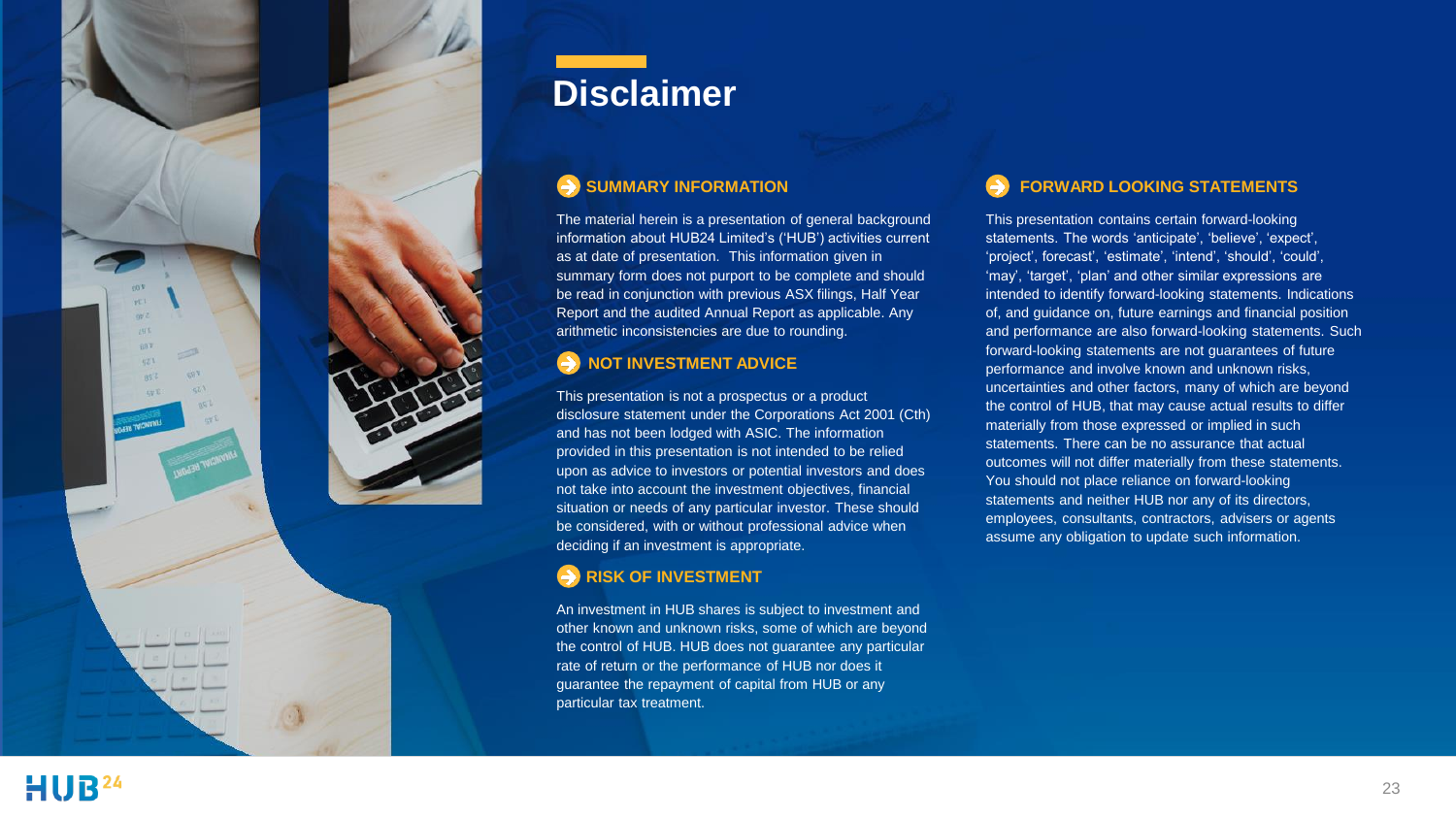

### **Disclaimer**

#### $\rightarrow$  SUMMARY INFORMATION

The material herein is a presentation of general background information about HUB24 Limited's ('HUB') activities current as at date of presentation. This information given in summary form does not purport to be complete and should be read in conjunction with previous ASX filings, Half Year Report and the audited Annual Report as applicable. Any arithmetic inconsistencies are due to rounding.

#### **NOT INVESTMENT ADVICE**

This presentation is not a prospectus or a product disclosure statement under the Corporations Act 2001 (Cth) and has not been lodged with ASIC. The information provided in this presentation is not intended to be relied upon as advice to investors or potential investors and does not take into account the investment objectives, financial situation or needs of any particular investor. These should be considered, with or without professional advice when deciding if an investment is appropriate.

#### **RISK OF INVESTMENT**

An investment in HUB shares is subject to investment and other known and unknown risks, some of which are beyond the control of HUB. HUB does not guarantee any particular rate of return or the performance of HUB nor does it guarantee the repayment of capital from HUB or any particular tax treatment.

#### **FORWARD LOOKING STATEMENTS**

This presentation contains certain forward-looking statements. The words 'anticipate', 'believe', 'expect', 'project', forecast', 'estimate', 'intend', 'should', 'could', 'may', 'target', 'plan' and other similar expressions are intended to identify forward-looking statements. Indications of, and guidance on, future earnings and financial position and performance are also forward-looking statements. Such forward-looking statements are not guarantees of future performance and involve known and unknown risks, uncertainties and other factors, many of which are beyond the control of HUB, that may cause actual results to differ materially from those expressed or implied in such statements. There can be no assurance that actual outcomes will not differ materially from these statements. You should not place reliance on forward-looking statements and neither HUB nor any of its directors, employees, consultants, contractors, advisers or agents assume any obligation to update such information.